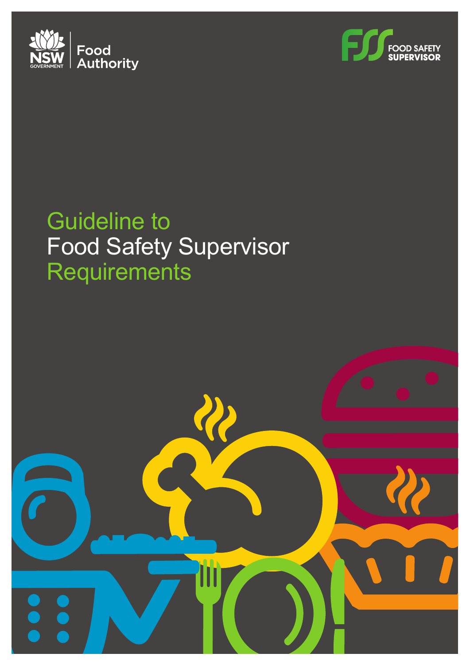



## Guideline to Food Safety Supervisor **Requirements**

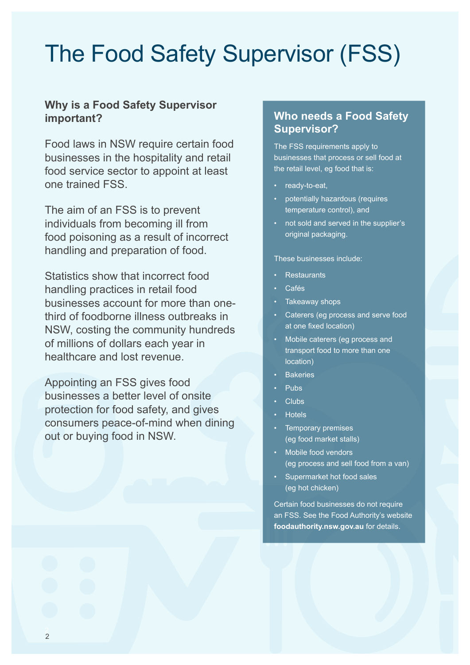## The Food Safety Supervisor (FSS)

### **Why is a Food Safety Supervisor important?**

Food laws in NSW require certain food businesses in the hospitality and retail food service sector to appoint at least one trained FSS.

The aim of an FSS is to prevent individuals from becoming ill from food poisoning as a result of incorrect handling and preparation of food.

Statistics show that incorrect food handling practices in retail food businesses account for more than onethird of foodborne illness outbreaks in NSW, costing the community hundreds of millions of dollars each year in healthcare and lost revenue.

Appointing an FSS gives food businesses a better level of onsite protection for food safety, and gives consumers peace-of-mind when dining out or buying food in NSW.

#### **Who needs a Food Safety Supervisor?**

The FSS requirements apply to businesses that process or sell food at the retail level, eg food that is:

- ready-to-eat,
- potentially hazardous (requires temperature control), and
- not sold and served in the supplier's original packaging.

These businesses include:

- Restaurants
- Cafés
- Takeaway shops
- Caterers (eg process and serve food at one fixed location)
- Mobile caterers (eg process and transport food to more than one location)
- **Bakeries**
- Pubs
- Clubs
- Hotels
- Temporary premises (eg food market stalls)
- Mobile food vendors (eg process and sell food from a van)
- Supermarket hot food sales (eg hot chicken)

Certain food businesses do not require an FSS. See the Food Authority's website **[foodauthority.nsw.gov.au](https://www.foodauthority.nsw.gov.au/)** for details.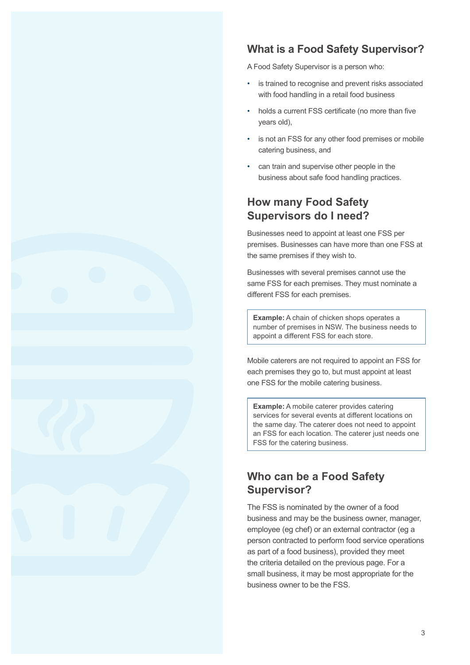

### **What is a Food Safety Supervisor?**

A Food Safety Supervisor is a person who:

- is trained to recognise and prevent risks associated with food handling in a retail food business
- holds a current FSS certificate (no more than five years old),
- is not an FSS for any other food premises or mobile catering business, and
- can train and supervise other people in the business about safe food handling practices.

### **How many Food Safety Supervisors do I need?**

Businesses need to appoint at least one FSS per premises. Businesses can have more than one FSS at the same premises if they wish to.

Businesses with several premises cannot use the same FSS for each premises. They must nominate a different FSS for each premises.

**Example:** A chain of chicken shops operates a number of premises in NSW. The business needs to appoint a different FSS for each store.

Mobile caterers are not required to appoint an FSS for each premises they go to, but must appoint at least one FSS for the mobile catering business.

**Example:** A mobile caterer provides catering services for several events at different locations on the same day. The caterer does not need to appoint an FSS for each location. The caterer just needs one FSS for the catering business.

### **Who can be a Food Safety Supervisor?**

The FSS is nominated by the owner of a food business and may be the business owner, manager, employee (eg chef) or an external contractor (eg a person contracted to perform food service operations as part of a food business), provided they meet the criteria detailed on the previous page. For a small business, it may be most appropriate for the business owner to be the FSS.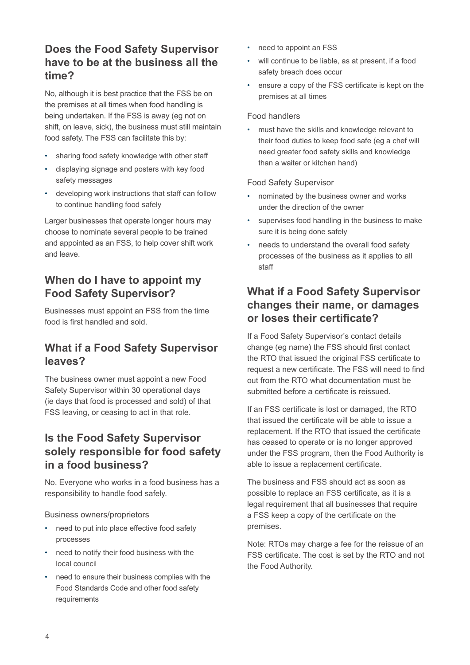### **Does the Food Safety Supervisor have to be at the business all the time?**

No, although it is best practice that the FSS be on the premises at all times when food handling is being undertaken. If the FSS is away (eg not on shift, on leave, sick), the business must still maintain food safety. The FSS can facilitate this by:

- sharing food safety knowledge with other staff
- displaying signage and posters with key food safety messages
- developing work instructions that staff can follow to continue handling food safely

Larger businesses that operate longer hours may choose to nominate several people to be trained and appointed as an FSS, to help cover shift work and leave.

### **When do I have to appoint my Food Safety Supervisor?**

Businesses must appoint an FSS from the time food is first handled and sold.

### **What if a Food Safety Supervisor leaves?**

The business owner must appoint a new Food Safety Supervisor within 30 operational days (ie days that food is processed and sold) of that FSS leaving, or ceasing to act in that role.

### **Is the Food Safety Supervisor solely responsible for food safety in a food business?**

No. Everyone who works in a food business has a responsibility to handle food safely.

#### Business owners/proprietors

- need to put into place effective food safety processes
- need to notify their food business with the local council
- need to ensure their business complies with the Food Standards Code and other food safety requirements
- need to appoint an FSS
- will continue to be liable, as at present, if a food safety breach does occur
- ensure a copy of the FSS certificate is kept on the premises at all times

#### Food handlers

• must have the skills and knowledge relevant to their food duties to keep food safe (eg a chef will need greater food safety skills and knowledge than a waiter or kitchen hand)

#### Food Safety Supervisor

- nominated by the business owner and works under the direction of the owner
- supervises food handling in the business to make sure it is being done safely
- needs to understand the overall food safety processes of the business as it applies to all staff

### **What if a Food Safety Supervisor changes their name, or damages or loses their certificate?**

If a Food Safety Supervisor's contact details change (eg name) the FSS should first contact the RTO that issued the original FSS certificate to request a new certificate. The FSS will need to find out from the RTO what documentation must be submitted before a certificate is reissued.

If an FSS certificate is lost or damaged, the RTO that issued the certificate will be able to issue a replacement. If the RTO that issued the certificate has ceased to operate or is no longer approved under the FSS program, then the Food Authority is able to issue a replacement certificate.

The business and FSS should act as soon as possible to replace an FSS certificate, as it is a legal requirement that all businesses that require a FSS keep a copy of the certificate on the premises.

Note: RTOs may charge a fee for the reissue of an FSS certificate. The cost is set by the RTO and not the Food Authority.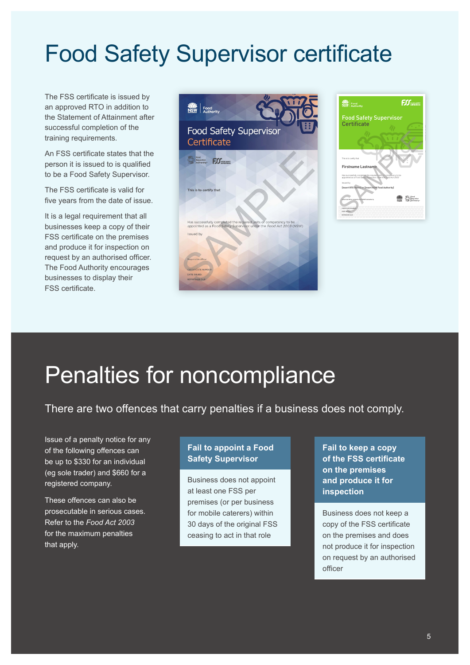## Food Safety Supervisor certificate

The FSS certificate is issued by an approved RTO in addition to the Statement of Attainment after successful completion of the training requirements.

An FSS certificate states that the person it is issued to is qualified to be a Food Safety Supervisor.

The FSS certificate is valid for five years from the date of issue.

It is a legal requirement that all businesses keep a copy of their FSS certificate on the premises and produce it for inspection on request by an authorised officer. The Food Authority encourages businesses to display their FSS certificate.





## Penalties for noncompliance

There are two offences that carry penalties if a business does not comply.

Issue of a penalty notice for any of the following offences can be up to \$330 for an individual (eg sole trader) and \$660 for a registered company.

These offences can also be prosecutable in serious cases. Refer to the *Food Act 2003* for the maximum penalties that apply.

#### **Fail to appoint a Food Safety Supervisor**

Business does not appoint at least one FSS per premises (or per business for mobile caterers) within 30 days of the original FSS ceasing to act in that role

**Fail to keep a copy of the FSS certificate on the premises and produce it for inspection**

Business does not keep a copy of the FSS certificate on the premises and does not produce it for inspection on request by an authorised officer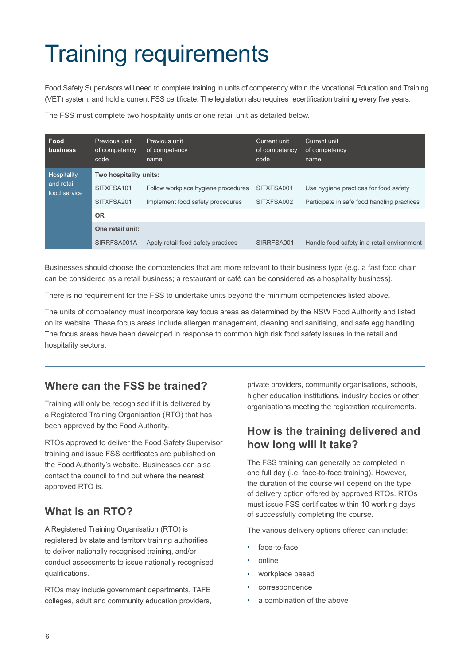# Training requirements

Food Safety Supervisors will need to complete training in units of competency within the Vocational Education and Training (VET) system, and hold a current FSS certificate. The legislation also requires recertification training every five years.

The FSS must complete two hospitality units or one retail unit as detailed below.

| Food<br>business                          | Previous unit<br>of competency<br>code | Previous unit<br>of competency<br>name | Current unit<br>of competency.<br>code | Current unit<br>of competency<br>name       |
|-------------------------------------------|----------------------------------------|----------------------------------------|----------------------------------------|---------------------------------------------|
| Hospitality<br>and retail<br>food service | Two hospitality units:                 |                                        |                                        |                                             |
|                                           | SITXFSA101                             | Follow workplace hygiene procedures    | SITXFSA001                             | Use hygiene practices for food safety       |
|                                           | SITXFSA201                             | Implement food safety procedures       | SITXFSA002                             | Participate in safe food handling practices |
|                                           | <b>OR</b>                              |                                        |                                        |                                             |
|                                           | One retail unit:                       |                                        |                                        |                                             |
|                                           | SIRRFSA001A                            | Apply retail food safety practices     | SIRRFSA001                             | Handle food safety in a retail environment  |

Businesses should choose the competencies that are more relevant to their business type (e.g. a fast food chain can be considered as a retail business; a restaurant or café can be considered as a hospitality business).

There is no requirement for the FSS to undertake units beyond the minimum competencies listed above.

The units of competency must incorporate key focus areas as determined by the NSW Food Authority and listed on its website. These focus areas include allergen management, cleaning and sanitising, and safe egg handling. The focus areas have been developed in response to common high risk food safety issues in the retail and hospitality sectors.

### **Where can the FSS be trained?**

Training will only be recognised if it is delivered by a Registered Training Organisation (RTO) that has been approved by the Food Authority.

RTOs approved to deliver the Food Safety Supervisor training and issue FSS certificates are published on the Food Authority's website. Businesses can also contact the council to find out where the nearest approved RTO is.

### **What is an RTO?**

A Registered Training Organisation (RTO) is registered by state and territory training authorities to deliver nationally recognised training, and/or conduct assessments to issue nationally recognised qualifications.

RTOs may include government departments, TAFE colleges, adult and community education providers, private providers, community organisations, schools, higher education institutions, industry bodies or other organisations meeting the registration requirements.

### **How is the training delivered and how long will it take?**

The FSS training can generally be completed in one full day (i.e. face-to-face training). However, the duration of the course will depend on the type of delivery option offered by approved RTOs. RTOs must issue FSS certificates within 10 working days of successfully completing the course.

The various delivery options offered can include:

- face-to-face
- online
- workplace based
- correspondence
- a combination of the above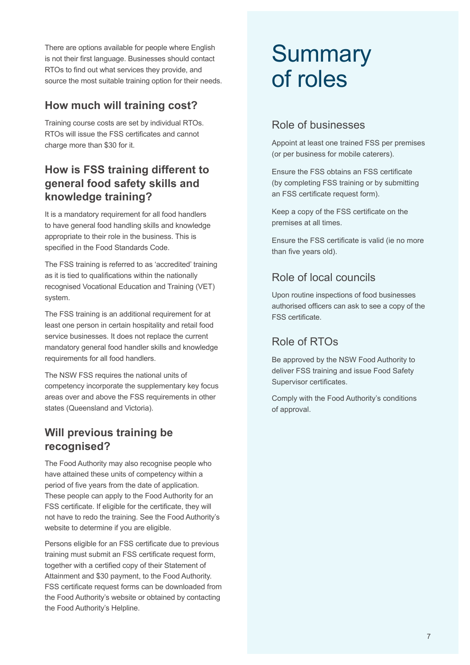There are options available for people where English is not their first language. Businesses should contact RTOs to find out what services they provide, and source the most suitable training option for their needs.

### **How much will training cost?**

Training course costs are set by individual RTOs. RTOs will issue the FSS certificates and cannot charge more than \$30 for it.

### **How is FSS training different to general food safety skills and knowledge training?**

It is a mandatory requirement for all food handlers to have general food handling skills and knowledge appropriate to their role in the business. This is specified in the Food Standards Code.

The FSS training is referred to as 'accredited' training as it is tied to qualifications within the nationally recognised Vocational Education and Training (VET) system.

The FSS training is an additional requirement for at least one person in certain hospitality and retail food service businesses. It does not replace the current mandatory general food handler skills and knowledge requirements for all food handlers.

The NSW FSS requires the national units of competency incorporate the supplementary key focus areas over and above the FSS requirements in other states (Queensland and Victoria).

### **Will previous training be recognised?**

The Food Authority may also recognise people who have attained these units of competency within a period of five years from the date of application. These people can apply to the Food Authority for an FSS certificate. If eligible for the certificate, they will not have to redo the training. See the Food Authority's website to determine if you are eligible.

Persons eligible for an FSS certificate due to previous training must submit an FSS certificate request form, together with a certified copy of their Statement of Attainment and \$30 payment, to the Food Authority. FSS certificate request forms can be downloaded from the Food Authority's website or obtained by contacting the Food Authority's Helpline.

## **Summary** of roles

### Role of businesses

Appoint at least one trained FSS per premises (or per business for mobile caterers).

Ensure the FSS obtains an FSS certificate (by completing FSS training or by submitting an FSS certificate request form).

Keep a copy of the FSS certificate on the premises at all times.

Ensure the FSS certificate is valid (ie no more than five years old).

### Role of local councils

Upon routine inspections of food businesses authorised officers can ask to see a copy of the FSS certificate.

### Role of RTOs

Be approved by the NSW Food Authority to deliver FSS training and issue Food Safety Supervisor certificates.

Comply with the Food Authority's conditions of approval.